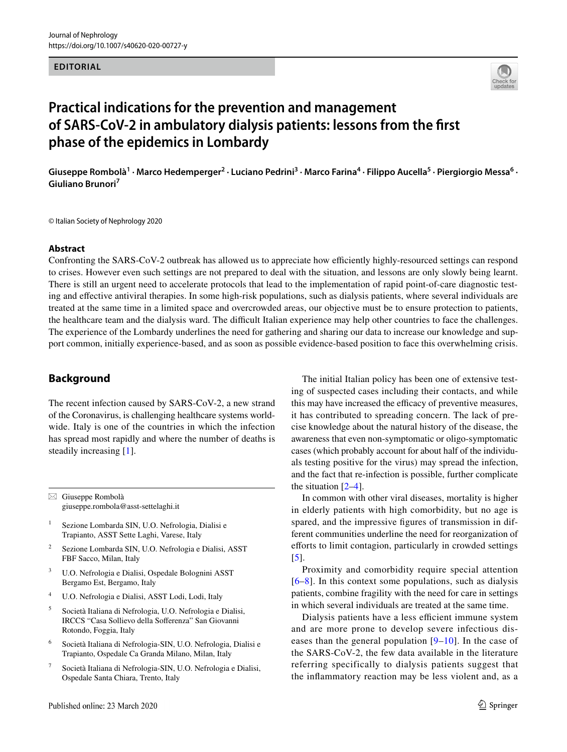#### **EDITORIAL**



# **Practical indications for the prevention and management of SARS‑CoV‑2 in ambulatory dialysis patients: lessons from the frst phase of the epidemics in Lombardy**

Giuseppe Rombolà<sup>1</sup> · Marco Hedemperger<sup>2</sup> · Luciano Pedrini<sup>3</sup> · Marco Farina<sup>4</sup> · Filippo Aucella<sup>5</sup> · Piergiorgio Messa<sup>6</sup> · **Giuliano Brunori7**

© Italian Society of Nephrology 2020

#### **Abstract**

Confronting the SARS-CoV-2 outbreak has allowed us to appreciate how efficiently highly-resourced settings can respond to crises. However even such settings are not prepared to deal with the situation, and lessons are only slowly being learnt. There is still an urgent need to accelerate protocols that lead to the implementation of rapid point-of-care diagnostic testing and efective antiviral therapies. In some high-risk populations, such as dialysis patients, where several individuals are treated at the same time in a limited space and overcrowded areas, our objective must be to ensure protection to patients, the healthcare team and the dialysis ward. The difficult Italian experience may help other countries to face the challenges. The experience of the Lombardy underlines the need for gathering and sharing our data to increase our knowledge and support common, initially experience-based, and as soon as possible evidence-based position to face this overwhelming crisis.

## **Background**

The recent infection caused by SARS-CoV-2, a new strand of the Coronavirus, is challenging healthcare systems worldwide. Italy is one of the countries in which the infection has spread most rapidly and where the number of deaths is steadily increasing [\[1](#page-3-0)].

 $\boxtimes$  Giuseppe Rombolà giuseppe.rombola@asst-settelaghi.it

<sup>1</sup> Sezione Lombarda SIN, U.O. Nefrologia, Dialisi e Trapianto, ASST Sette Laghi, Varese, Italy

- <sup>2</sup> Sezione Lombarda SIN, U.O. Nefrologia e Dialisi, ASST FBF Sacco, Milan, Italy
- <sup>3</sup> U.O. Nefrologia e Dialisi, Ospedale Bolognini ASST Bergamo Est, Bergamo, Italy
- <sup>4</sup> U.O. Nefrologia e Dialisi, ASST Lodi, Lodi, Italy
- <sup>5</sup> Società Italiana di Nefrologia, U.O. Nefrologia e Dialisi, IRCCS "Casa Sollievo della Soferenza" San Giovanni Rotondo, Foggia, Italy
- <sup>6</sup> Società Italiana di Nefrologia-SIN, U.O. Nefrologia, Dialisi e Trapianto, Ospedale Ca Granda Milano, Milan, Italy
- <sup>7</sup> Società Italiana di Nefrologia-SIN, U.O. Nefrologia e Dialisi, Ospedale Santa Chiara, Trento, Italy

The initial Italian policy has been one of extensive testing of suspected cases including their contacts, and while this may have increased the efficacy of preventive measures, it has contributed to spreading concern. The lack of precise knowledge about the natural history of the disease, the awareness that even non-symptomatic or oligo-symptomatic cases (which probably account for about half of the individuals testing positive for the virus) may spread the infection, and the fact that re-infection is possible, further complicate the situation [[2–](#page-3-1)[4\]](#page-3-2).

In common with other viral diseases, mortality is higher in elderly patients with high comorbidity, but no age is spared, and the impressive fgures of transmission in different communities underline the need for reorganization of eforts to limit contagion, particularly in crowded settings [[5\]](#page-3-3).

Proximity and comorbidity require special attention [[6–](#page-3-4)[8](#page-3-5)]. In this context some populations, such as dialysis patients, combine fragility with the need for care in settings in which several individuals are treated at the same time.

Dialysis patients have a less efficient immune system and are more prone to develop severe infectious diseases than the general population [[9–](#page-3-6)[10\]](#page-3-7). In the case of the SARS-CoV-2, the few data available in the literature referring specifically to dialysis patients suggest that the infammatory reaction may be less violent and, as a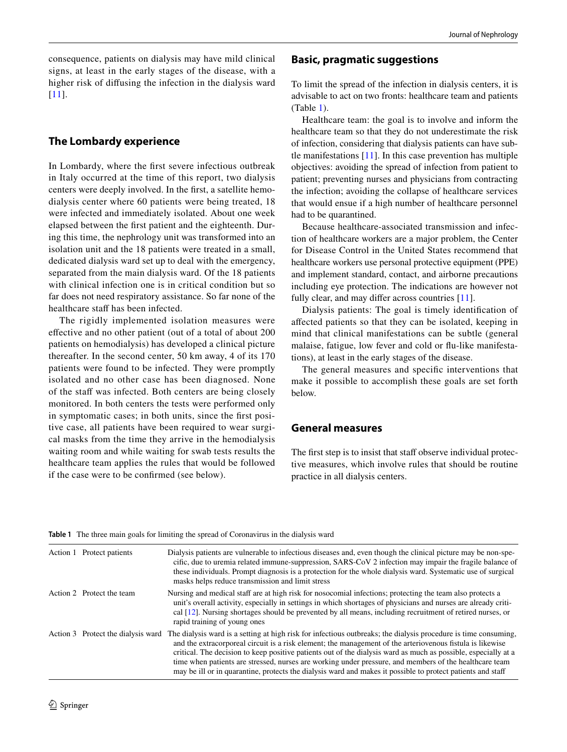consequence, patients on dialysis may have mild clinical signs, at least in the early stages of the disease, with a higher risk of difusing the infection in the dialysis ward [[11\]](#page-3-8).

# **The Lombardy experience**

In Lombardy, where the frst severe infectious outbreak in Italy occurred at the time of this report, two dialysis centers were deeply involved. In the frst, a satellite hemodialysis center where 60 patients were being treated, 18 were infected and immediately isolated. About one week elapsed between the frst patient and the eighteenth. During this time, the nephrology unit was transformed into an isolation unit and the 18 patients were treated in a small, dedicated dialysis ward set up to deal with the emergency, separated from the main dialysis ward. Of the 18 patients with clinical infection one is in critical condition but so far does not need respiratory assistance. So far none of the healthcare staff has been infected.

The rigidly implemented isolation measures were efective and no other patient (out of a total of about 200 patients on hemodialysis) has developed a clinical picture thereafter. In the second center, 50 km away, 4 of its 170 patients were found to be infected. They were promptly isolated and no other case has been diagnosed. None of the staff was infected. Both centers are being closely monitored. In both centers the tests were performed only in symptomatic cases; in both units, since the frst positive case, all patients have been required to wear surgical masks from the time they arrive in the hemodialysis waiting room and while waiting for swab tests results the healthcare team applies the rules that would be followed if the case were to be confrmed (see below).

## **Basic, pragmatic suggestions**

To limit the spread of the infection in dialysis centers, it is advisable to act on two fronts: healthcare team and patients (Table [1\)](#page-1-0).

Healthcare team: the goal is to involve and inform the healthcare team so that they do not underestimate the risk of infection, considering that dialysis patients can have subtle manifestations [\[11](#page-3-8)]. In this case prevention has multiple objectives: avoiding the spread of infection from patient to patient; preventing nurses and physicians from contracting the infection; avoiding the collapse of healthcare services that would ensue if a high number of healthcare personnel had to be quarantined.

Because healthcare-associated transmission and infection of healthcare workers are a major problem, the Center for Disease Control in the United States recommend that healthcare workers use personal protective equipment (PPE) and implement standard, contact, and airborne precautions including eye protection. The indications are however not fully clear, and may differ across countries [\[11\]](#page-3-8).

Dialysis patients: The goal is timely identifcation of afected patients so that they can be isolated, keeping in mind that clinical manifestations can be subtle (general malaise, fatigue, low fever and cold or fu-like manifestations), at least in the early stages of the disease.

The general measures and specifc interventions that make it possible to accomplish these goals are set forth below.

## **General measures**

The first step is to insist that staff observe individual protective measures, which involve rules that should be routine practice in all dialysis centers.

| Action 1 Protect patients          | Dialysis patients are vulnerable to infectious diseases and, even though the clinical picture may be non-spe-<br>cific, due to uremia related immune-suppression, SARS-CoV 2 infection may impair the fragile balance of<br>these individuals. Prompt diagnosis is a protection for the whole dialysis ward. Systematic use of surgical<br>masks helps reduce transmission and limit stress                                                                                                                                                                             |
|------------------------------------|-------------------------------------------------------------------------------------------------------------------------------------------------------------------------------------------------------------------------------------------------------------------------------------------------------------------------------------------------------------------------------------------------------------------------------------------------------------------------------------------------------------------------------------------------------------------------|
| Action 2 Protect the team          | Nursing and medical staff are at high risk for nosocomial infections; protecting the team also protects a<br>unit's overall activity, especially in settings in which shortages of physicians and nurses are already criti-<br>cal [12]. Nursing shortages should be prevented by all means, including recruitment of retired nurses, or<br>rapid training of young ones                                                                                                                                                                                                |
| Action 3 Protect the dialysis ward | The dialysis ward is a setting at high risk for infectious outbreaks; the dialysis procedure is time consuming,<br>and the extracorporeal circuit is a risk element; the management of the arteriovenous fistula is likewise<br>critical. The decision to keep positive patients out of the dialysis ward as much as possible, especially at a<br>time when patients are stressed, nurses are working under pressure, and members of the healthcare team<br>may be ill or in quarantine, protects the dialysis ward and makes it possible to protect patients and staff |

<span id="page-1-0"></span>**Table 1** The three main goals for limiting the spread of Coronavirus in the dialysis ward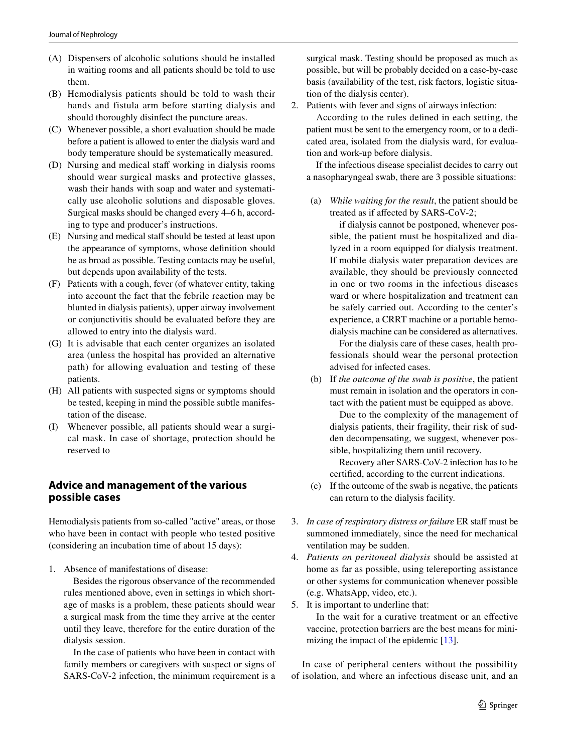- (A) Dispensers of alcoholic solutions should be installed in waiting rooms and all patients should be told to use them.
- (B) Hemodialysis patients should be told to wash their hands and fistula arm before starting dialysis and should thoroughly disinfect the puncture areas.
- (C) Whenever possible, a short evaluation should be made before a patient is allowed to enter the dialysis ward and body temperature should be systematically measured.
- (D) Nursing and medical staff working in dialysis rooms should wear surgical masks and protective glasses, wash their hands with soap and water and systematically use alcoholic solutions and disposable gloves. Surgical masks should be changed every 4–6 h, according to type and producer's instructions.
- (E) Nursing and medical staf should be tested at least upon the appearance of symptoms, whose defnition should be as broad as possible. Testing contacts may be useful, but depends upon availability of the tests.
- (F) Patients with a cough, fever (of whatever entity, taking into account the fact that the febrile reaction may be blunted in dialysis patients), upper airway involvement or conjunctivitis should be evaluated before they are allowed to entry into the dialysis ward.
- (G) It is advisable that each center organizes an isolated area (unless the hospital has provided an alternative path) for allowing evaluation and testing of these patients.
- (H) All patients with suspected signs or symptoms should be tested, keeping in mind the possible subtle manifestation of the disease.
- (I) Whenever possible, all patients should wear a surgical mask. In case of shortage, protection should be reserved to

# **Advice and management of the various possible cases**

Hemodialysis patients from so-called "active" areas, or those who have been in contact with people who tested positive (considering an incubation time of about 15 days):

1. Absence of manifestations of disease:

 Besides the rigorous observance of the recommended rules mentioned above, even in settings in which shortage of masks is a problem, these patients should wear a surgical mask from the time they arrive at the center until they leave, therefore for the entire duration of the dialysis session.

 In the case of patients who have been in contact with family members or caregivers with suspect or signs of SARS-CoV-2 infection, the minimum requirement is a

surgical mask. Testing should be proposed as much as possible, but will be probably decided on a case-by-case basis (availability of the test, risk factors, logistic situation of the dialysis center).

2. Patients with fever and signs of airways infection:

 According to the rules defned in each setting, the patient must be sent to the emergency room, or to a dedicated area, isolated from the dialysis ward, for evaluation and work-up before dialysis.

 If the infectious disease specialist decides to carry out a nasopharyngeal swab, there are 3 possible situations:

(a) *While waiting for the result*, the patient should be treated as if afected by SARS-CoV-2;

 if dialysis cannot be postponed, whenever possible, the patient must be hospitalized and dialyzed in a room equipped for dialysis treatment. If mobile dialysis water preparation devices are available, they should be previously connected in one or two rooms in the infectious diseases ward or where hospitalization and treatment can be safely carried out. According to the center's experience, a CRRT machine or a portable hemodialysis machine can be considered as alternatives.

 For the dialysis care of these cases, health professionals should wear the personal protection advised for infected cases.

(b) If *the outcome of the swab is positive*, the patient must remain in isolation and the operators in contact with the patient must be equipped as above.

 Due to the complexity of the management of dialysis patients, their fragility, their risk of sudden decompensating, we suggest, whenever possible, hospitalizing them until recovery.

 Recovery after SARS-CoV-2 infection has to be certifed, according to the current indications.

- (c) If the outcome of the swab is negative, the patients can return to the dialysis facility.
- 3. *In case of respiratory distress or failure* ER staf must be summoned immediately, since the need for mechanical ventilation may be sudden.
- 4. *Patients on peritoneal dialysis* should be assisted at home as far as possible, using telereporting assistance or other systems for communication whenever possible (e.g. WhatsApp, video, etc.).
- 5. It is important to underline that:

 In the wait for a curative treatment or an efective vaccine, protection barriers are the best means for mini-mizing the impact of the epidemic [[13](#page-3-10)].

In case of peripheral centers without the possibility of isolation, and where an infectious disease unit, and an